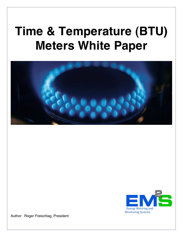# **Time & Temperature (BTU) Meters White Paper**





Author: Roger Freischlag, President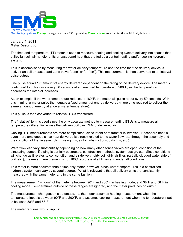

### January 4, 2011 **Meter Description:**

The time and temperature (TT) meter is used to measure heating and cooling system delivery into spaces that utilize fan coil, air handler units or baseboard heat that are fed by a central heating and/or cooling hydronic system.

This is accomplished by measuring the water delivery temperature and the time that the delivery device is active (fan coil or baseboard zone valve "open" or fan "on"). This measurement is then converted to an interval pulse output.

One pulse equals "X" amount of energy delivered dependent on the rating of the delivery device. The meter is configured to pulse once every 36 seconds at a measured temperature of 200°F; as the temperature decreases the interval increases.

As an example, if the water temperature reduces to 180°F, the meter will pulse about every 50 seconds. With this in mind, a meter pulse then equals a fixed amount of energy delivered (more time required to deliver the same amount of energy at a lower water temperature).

This pulse is then converted to relative BTUs transferred.

The "relative" term is used since the only accurate method to measure heating BTUs is to measure air temperature differential across the delivery coil plus CFM of delivered air.

Cooling BTU measurements are more complicated, since latent heat transfer is involved. Baseboard heat is even more ambiguous since heat delivered is directly related to the water flow rate through the assembly and the condition of the fin assembly (missing fins, airflow obstructions, dirty fins, etc.)

Water flow can vary substantially depending on how many other zones valves are open, condition of the circulating pumps, if piping is partially obstructed, construction methods, system design, etc. Since conditions will change as it relates to coil condition and air delivery (dirty coil, dirty air filter, partially clogged water side of coil, etc.), the meter measurement is not 100% accurate at all times and under all conditions.

This meter is more accurate than a time only meter, however, since water temperatures in a centralized hydronic system can vary by several degrees. What is relevant is that all delivery units are consistently measured with the same meter and in the same fashion.

The measurement "window" of the meter is between 90°F and 200°F in heating mode, and 38°F and 58°F in cooling mode. Temperatures outside of these ranges are ignored, and the meter produces no output.

The measurement changeover is automatic, i.e. the meter assumes heating measurement when the temperature input is between 90°F and 200°F, and assumes cooling measurement when the temperature input is between 38°F and 58°F.

The meter requires two (2) inputs: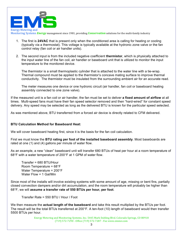

Monitoring Systems *Energy* management since 1981, providing *Conservation* solutions for the multi-family industry

- 1. The first is **24VAC** that is present only when the conditioned area is calling for heating or cooling (typically via a thermostat). This voltage is typically available at the hydronic zone valve or the fan control relay (fan coil or air handler units).
- 2. The second input is from the included negative coefficient **thermistor**, which is physically attached to the input water line of the fan coil, air handler or baseboard unit that is utilized to monitor the input temperature to the monitored device.

The thermistor is a small thermoplastic cylinder that is attached to the water line with a tie-wrap. Thermal compound must be applied to the thermistor's concave mating surface to improve thermal conductivity. The thermistor must be insulated from the surrounding ambient air for an accurate read.

The meter measures one device or one hydronic circuit (air handler, fan coil or baseboard heating assembly connected to one zone valve).

If the measured unit is a fan coil or air handler, the fan must be set to deliver **a fixed amount of airflow** at all times. Multi-speed fans must have their fan speed selector removed and then "hard-wired" for constant speed delivery. Any speed may be selected as long as the delivered BTU is known for the particular speed selected.

As was mentioned above, BTU transferred from a forced air device is directly related to CFM delivered.

#### **BTU Calculation Method for Baseboard Heat:**

We will cover baseboard heating first, since it is the basis for the fan coil calculation.

First we must know the **BTU rating per foot of the installed baseboard assembly**. Most baseboards are rated at one (1) and (4) gallons per minute of water flow.

As an example, a new "clean" baseboard unit will transfer 680 BTUs of heat per hour at a room temperature of 68°F with a water temperature of 200°F at 1 GPM of water flow.

Transfer = 680 BTU/Hour Room Temperature = 68°F Water Temperature = 200°F Water Flow = 1 Gal/Min

Since most of the installs will involve existing systems with some amount of age, missing or bent fins, partially closed convection dampers and/or dirt accumulation, and the room temperature will probably be higher than 68°F, we will **assume a transfer rate of 550 BTUs per hour, per foot**.

Transfer Rate = 550 BTU / Hour / Foot

We then measure the **actual length of the baseboard** and take this result multiplied by the BTUs per foot. The result will be the total BTUs transferred at 200°F. A ten-foot (10) length of baseboard would then transfer 5500 BTUs per hour.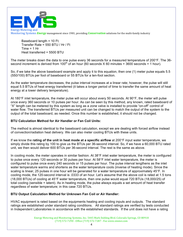

Baseboard length = 10 Ft. Transfer Rate = 550 BTU / Hr / Ft  $Time = 1 Hr$ Heat transferred = 5500 BTU

The meter breaks down the data to one pulse every 36 seconds for a measured temperature of 200°F. The 36 second increment is derived from  $100<sup>th</sup>$  of an hour (60 seconds X 60 minutes = 3600 seconds = 1 hour).

So, if we take the above baseboard example and apply it to this equation, then one (1) meter pulse equals 5.5 (550/100) BTUs per foot of baseboard or 55 BTUs for a ten-foot section.

As the water temperature decreases, the pulse interval increases at a linear rate; however, the pulse will still equal 5.5 BTUs of heat energy transferred (it takes a longer period of time to transfer the same amount of heat energy at a lower delivery temperature).

At 180°F inlet temperature, the meter pulse will occur about every 50 seconds. At 90°F, the meter will pulse once every 360 seconds or 10 pulses per hour. As can be seen by this method, any known, rated baseboard of "X" length can be metered by this system as long as a zone valve is installed to provide "on-off" control of water flow. The transferred BTUs per measured unit can be changed to match the output of the system to the output of the total baseboard, as needed. Once this number is established, it should not be changed.

## **BTU Calculation Method for Air Handler or Fan Coil Units:**

The method is almost identical to the baseboard calculation, except we are dealing with forced airflow instead of convection/radiation heat delivery. We can also meter cooling BTUs with these units.

If we know the **rating of the unit in heat mode at a specific airflow** at 200°F input water temperature, we simply divide this rating by 100 to give us the BTUs per 36-second interval. So, if we have a 60,000 BTU rated unit, we then would deliver 600 BTUs per 36-second interval. The rest is the same as above.

In cooling mode, the meter operates in similar fashion. At 38°F inlet water temperature, the meter is configured to pulse once every 120 seconds or 30 pulses per hour. At 58°F inlet water temperature, the meter is configured to pulse once every 240 seconds or 15 pulses per hour. The pulse interval lengthens as the inlet water temperature warms and shortens as the water temperature cools (inverse of heating mode). Since the scaling is linear, 25 pulses in one hour will be generated for a water temperature of approximately 45°F. In cooling mode, the 120-second interval is .0333 of an hour. Let's assume that the above coil is rated at 1.5 tons (18,000 BTUs) of cooling at 45°F water temperature, then one pulse would equal 720 BTUs (18,000/25) of total cooling (sensible + latent). As in heating mode, the pulse always equals a set amount of heat transfer regardless of water temperature; in this case 720 BTUs.

## **BTU Output Calculation Method for Unknown Fan Coil or Air Handler:**

HVAC equipment is rated based on the equipments heating and cooling inputs and outputs. The standard ratings are established under standard rating conditions. All standard ratings are verified by tests conducted in Independent Laboratories in accordance with the established standards. If the unit does not have a rating